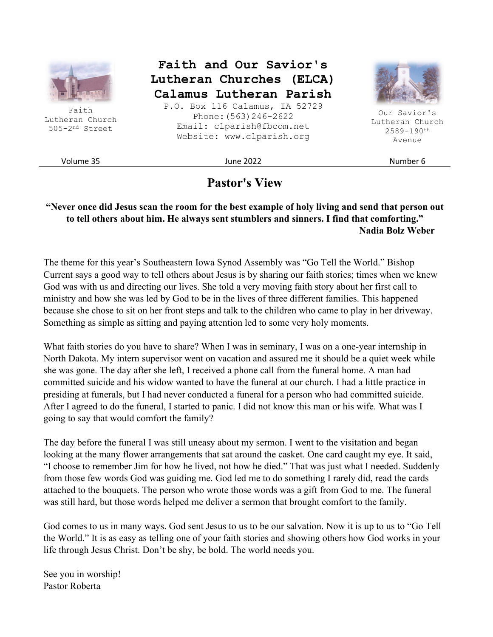

Faith Lutheran Church 505-2nd Street

**Faith and Our Savior's Lutheran Churches (ELCA) Calamus Lutheran Parish** 

P.O. Box 116 Calamus, IA 52729 Phone:(563)246-2622 Email: clparish@fbcom.net Website: www.clparish.org



Our Savior's Lutheran Church 2589-190th Avenue

Volume 35 June 2022 Number 6

## **Pastor's View**

#### **"Never once did Jesus scan the room for the best example of holy living and send that person out to tell others about him. He always sent stumblers and sinners. I find that comforting." Nadia Bolz Weber**

The theme for this year's Southeastern Iowa Synod Assembly was "Go Tell the World." Bishop Current says a good way to tell others about Jesus is by sharing our faith stories; times when we knew God was with us and directing our lives. She told a very moving faith story about her first call to ministry and how she was led by God to be in the lives of three different families. This happened because she chose to sit on her front steps and talk to the children who came to play in her driveway. Something as simple as sitting and paying attention led to some very holy moments.

What faith stories do you have to share? When I was in seminary, I was on a one-year internship in North Dakota. My intern supervisor went on vacation and assured me it should be a quiet week while she was gone. The day after she left, I received a phone call from the funeral home. A man had committed suicide and his widow wanted to have the funeral at our church. I had a little practice in presiding at funerals, but I had never conducted a funeral for a person who had committed suicide. After I agreed to do the funeral, I started to panic. I did not know this man or his wife. What was I going to say that would comfort the family?

The day before the funeral I was still uneasy about my sermon. I went to the visitation and began looking at the many flower arrangements that sat around the casket. One card caught my eye. It said, "I choose to remember Jim for how he lived, not how he died." That was just what I needed. Suddenly from those few words God was guiding me. God led me to do something I rarely did, read the cards attached to the bouquets. The person who wrote those words was a gift from God to me. The funeral was still hard, but those words helped me deliver a sermon that brought comfort to the family.

God comes to us in many ways. God sent Jesus to us to be our salvation. Now it is up to us to "Go Tell the World." It is as easy as telling one of your faith stories and showing others how God works in your life through Jesus Christ. Don't be shy, be bold. The world needs you.

See you in worship! Pastor Roberta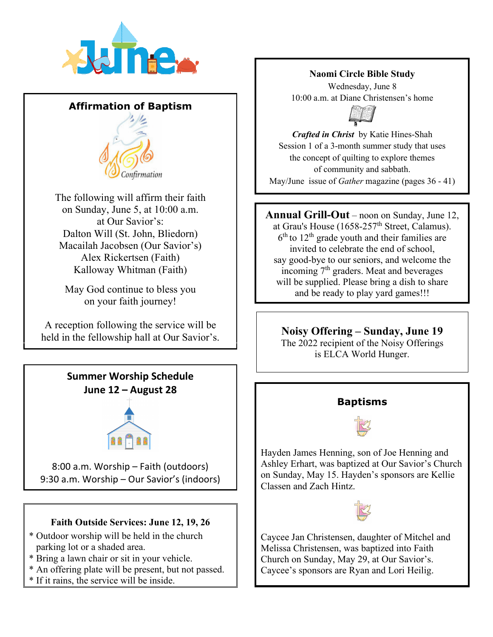

## **Affirmation of Baptism**



The following will affirm their faith on Sunday, June 5, at 10:00 a.m. at Our Savior's: Dalton Will (St. John, Bliedorn) Macailah Jacobsen (Our Savior's) Alex Rickertsen (Faith) Kalloway Whitman (Faith)

May God continue to bless you on your faith journey!

A reception following the service will be held in the fellowship hall at Our Savior's.

> **Summer Worship Schedule June 12 – August 28**



8:00 a.m. Worship – Faith (outdoors) 9:30 a.m. Worship – Our Savior's (indoors)

## **Faith Outside Services: June 12, 19, 26**

- \* Outdoor worship will be held in the church parking lot or a shaded area.
- \* Bring a lawn chair or sit in your vehicle.
- \* An offering plate will be present, but not passed.
- \* If it rains, the service will be inside.

#### **Naomi Circle Bible Study**

Wednesday, June 8 10:00 a.m. at Diane Christensen's home



*Crafted in Christ* by Katie Hines-Shah Session 1 of a 3-month summer study that uses the concept of quilting to explore themes of community and sabbath. May/June issue of *Gather* magazine (pages 36 - 41)

**Annual Grill-Out** – noon on Sunday, June 12, at Grau's House (1658-257<sup>th</sup> Street, Calamus).  $6<sup>th</sup>$  to  $12<sup>th</sup>$  grade youth and their families are invited to celebrate the end of school, say good-bye to our seniors, and welcome the incoming 7<sup>th</sup> graders. Meat and beverages will be supplied. Please bring a dish to share and be ready to play yard games!!!

## **Noisy Offering – Sunday, June 19**

The 2022 recipient of the Noisy Offerings is ELCA World Hunger.



**Baptisms** 

Hayden James Henning, son of Joe Henning and Ashley Erhart, was baptized at Our Savior's Church on Sunday, May 15. Hayden's sponsors are Kellie Classen and Zach Hintz.



Caycee Jan Christensen, daughter of Mitchel and Melissa Christensen, was baptized into Faith Church on Sunday, May 29, at Our Savior's. Caycee's sponsors are Ryan and Lori Heilig.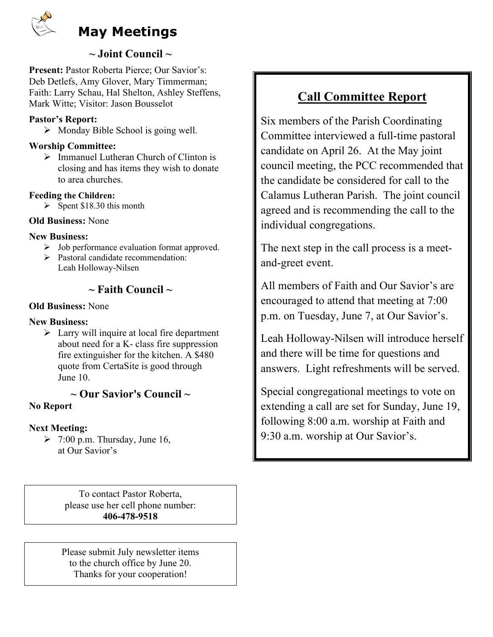

## **~ Joint Council ~**

**Present:** Pastor Roberta Pierce; Our Savior's: Deb Detlefs, Amy Glover, Mary Timmerman; Faith: Larry Schau, Hal Shelton, Ashley Steffens, Mark Witte; Visitor: Jason Bousselot

#### **Pastor's Report:**

Monday Bible School is going well.

#### **Worship Committee:**

 $\triangleright$  Immanuel Lutheran Church of Clinton is closing and has items they wish to donate to area churches.

#### **Feeding the Children:**

 $\triangleright$  Spent \$18.30 this month

#### **Old Business:** None

#### **New Business:**

- $\triangleright$  Job performance evaluation format approved.
- $\triangleright$  Pastoral candidate recommendation: Leah Holloway-Nilsen

## **~ Faith Council ~**

#### **Old Business:** None

#### **New Business:**

 $\triangleright$  Larry will inquire at local fire department about need for a K- class fire suppression fire extinguisher for the kitchen. A \$480 quote from CertaSite is good through June 10.

#### **~ Our Savior's Council ~ No Report**

#### **Next Meeting:**

 $\geq$  7:00 p.m. Thursday, June 16, at Our Savior's

> To contact Pastor Roberta, please use her cell phone number: **406-478-9518**

Please submit July newsletter items to the church office by June 20. Thanks for your cooperation!

## **Call Committee Report**

Six members of the Parish Coordinating Committee interviewed a full-time pastoral candidate on April 26. At the May joint council meeting, the PCC recommended that the candidate be considered for call to the Calamus Lutheran Parish. The joint council agreed and is recommending the call to the individual congregations.

The next step in the call process is a meetand-greet event.

All members of Faith and Our Savior's are encouraged to attend that meeting at 7:00 p.m. on Tuesday, June 7, at Our Savior's.

Leah Holloway-Nilsen will introduce herself and there will be time for questions and answers. Light refreshments will be served.

Special congregational meetings to vote on extending a call are set for Sunday, June 19, following 8:00 a.m. worship at Faith and 9:30 a.m. worship at Our Savior's.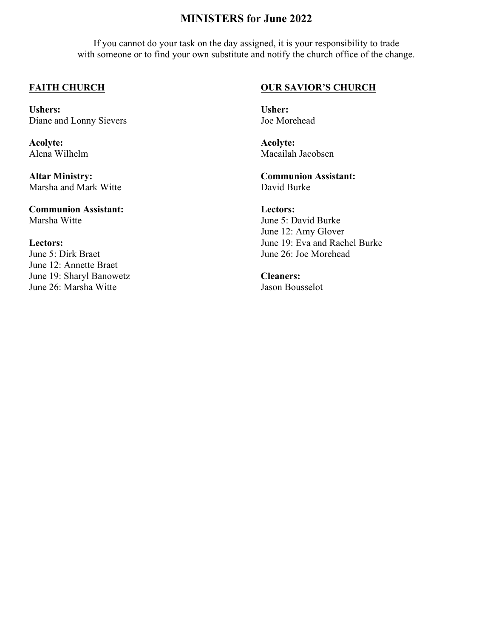## **MINISTERS for June 2022**

If you cannot do your task on the day assigned, it is your responsibility to trade with someone or to find your own substitute and notify the church office of the change.

#### **FAITH CHURCH**

**Ushers:**  Diane and Lonny Sievers

**Acolyte:**  Alena Wilhelm

**Altar Ministry:**  Marsha and Mark Witte

**Communion Assistant:**  Marsha Witte

#### **Lectors:**

June 5: Dirk Braet June 12: Annette Braet June 19: Sharyl Banowetz June 26: Marsha Witte

#### **OUR SAVIOR'S CHURCH**

**Usher:**  Joe Morehead

**Acolyte:**  Macailah Jacobsen

**Communion Assistant:**  David Burke

**Lectors:**  June 5: David Burke June 12: Amy Glover June 19: Eva and Rachel Burke June 26: Joe Morehead

**Cleaners:**  Jason Bousselot